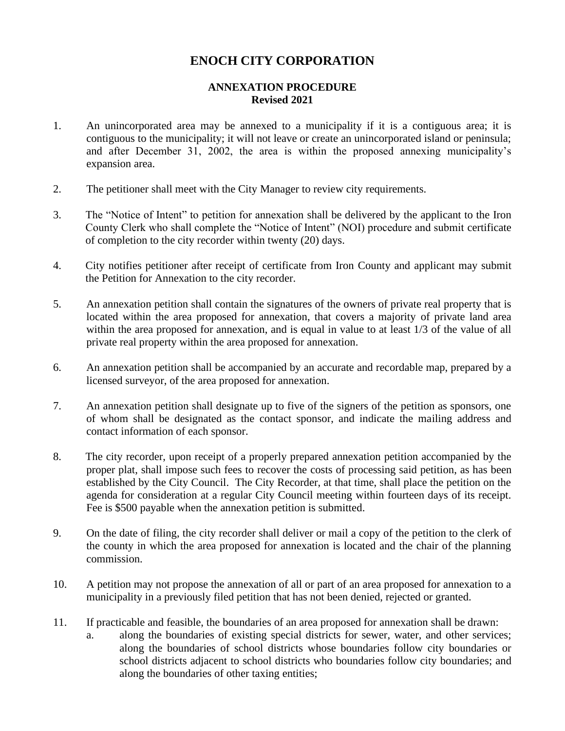## **ENOCH CITY CORPORATION**

## **ANNEXATION PROCEDURE Revised 2021**

- 1. An unincorporated area may be annexed to a municipality if it is a contiguous area; it is contiguous to the municipality; it will not leave or create an unincorporated island or peninsula; and after December 31, 2002, the area is within the proposed annexing municipality's expansion area.
- 2. The petitioner shall meet with the City Manager to review city requirements.
- 3. The "Notice of Intent" to petition for annexation shall be delivered by the applicant to the Iron County Clerk who shall complete the "Notice of Intent" (NOI) procedure and submit certificate of completion to the city recorder within twenty (20) days.
- 4. City notifies petitioner after receipt of certificate from Iron County and applicant may submit the Petition for Annexation to the city recorder.
- 5. An annexation petition shall contain the signatures of the owners of private real property that is located within the area proposed for annexation, that covers a majority of private land area within the area proposed for annexation, and is equal in value to at least 1/3 of the value of all private real property within the area proposed for annexation.
- 6. An annexation petition shall be accompanied by an accurate and recordable map, prepared by a licensed surveyor, of the area proposed for annexation.
- 7. An annexation petition shall designate up to five of the signers of the petition as sponsors, one of whom shall be designated as the contact sponsor, and indicate the mailing address and contact information of each sponsor.
- 8. The city recorder, upon receipt of a properly prepared annexation petition accompanied by the proper plat, shall impose such fees to recover the costs of processing said petition, as has been established by the City Council. The City Recorder, at that time, shall place the petition on the agenda for consideration at a regular City Council meeting within fourteen days of its receipt. Fee is \$500 payable when the annexation petition is submitted.
- 9. On the date of filing, the city recorder shall deliver or mail a copy of the petition to the clerk of the county in which the area proposed for annexation is located and the chair of the planning commission.
- 10. A petition may not propose the annexation of all or part of an area proposed for annexation to a municipality in a previously filed petition that has not been denied, rejected or granted.
- 11. If practicable and feasible, the boundaries of an area proposed for annexation shall be drawn:
	- a. along the boundaries of existing special districts for sewer, water, and other services; along the boundaries of school districts whose boundaries follow city boundaries or school districts adjacent to school districts who boundaries follow city boundaries; and along the boundaries of other taxing entities;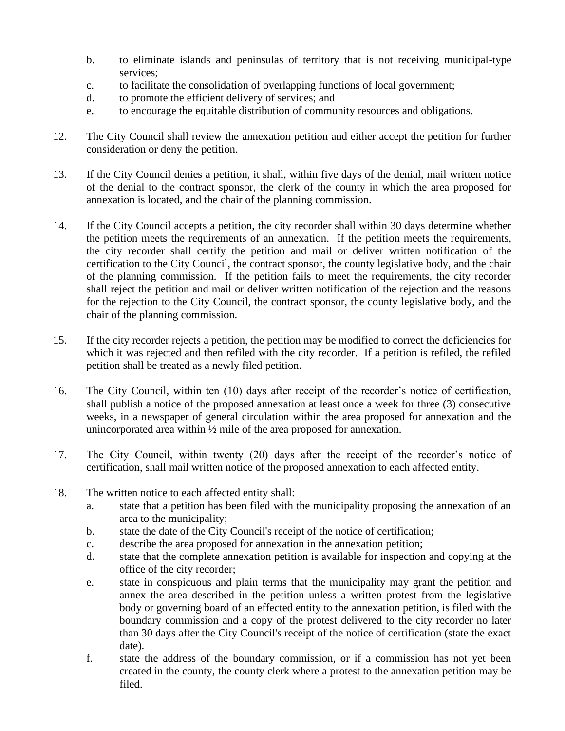- b. to eliminate islands and peninsulas of territory that is not receiving municipal-type services;
- c. to facilitate the consolidation of overlapping functions of local government;
- d. to promote the efficient delivery of services; and
- e. to encourage the equitable distribution of community resources and obligations.
- 12. The City Council shall review the annexation petition and either accept the petition for further consideration or deny the petition.
- 13. If the City Council denies a petition, it shall, within five days of the denial, mail written notice of the denial to the contract sponsor, the clerk of the county in which the area proposed for annexation is located, and the chair of the planning commission.
- 14. If the City Council accepts a petition, the city recorder shall within 30 days determine whether the petition meets the requirements of an annexation. If the petition meets the requirements, the city recorder shall certify the petition and mail or deliver written notification of the certification to the City Council, the contract sponsor, the county legislative body, and the chair of the planning commission. If the petition fails to meet the requirements, the city recorder shall reject the petition and mail or deliver written notification of the rejection and the reasons for the rejection to the City Council, the contract sponsor, the county legislative body, and the chair of the planning commission.
- 15. If the city recorder rejects a petition, the petition may be modified to correct the deficiencies for which it was rejected and then refiled with the city recorder. If a petition is refiled, the refiled petition shall be treated as a newly filed petition.
- 16. The City Council, within ten (10) days after receipt of the recorder's notice of certification, shall publish a notice of the proposed annexation at least once a week for three (3) consecutive weeks, in a newspaper of general circulation within the area proposed for annexation and the unincorporated area within ½ mile of the area proposed for annexation.
- 17. The City Council, within twenty (20) days after the receipt of the recorder's notice of certification, shall mail written notice of the proposed annexation to each affected entity.
- 18. The written notice to each affected entity shall:
	- a. state that a petition has been filed with the municipality proposing the annexation of an area to the municipality;
	- b. state the date of the City Council's receipt of the notice of certification;
	- c. describe the area proposed for annexation in the annexation petition;
	- d. state that the complete annexation petition is available for inspection and copying at the office of the city recorder;
	- e. state in conspicuous and plain terms that the municipality may grant the petition and annex the area described in the petition unless a written protest from the legislative body or governing board of an effected entity to the annexation petition, is filed with the boundary commission and a copy of the protest delivered to the city recorder no later than 30 days after the City Council's receipt of the notice of certification (state the exact date).
	- f. state the address of the boundary commission, or if a commission has not yet been created in the county, the county clerk where a protest to the annexation petition may be filed.